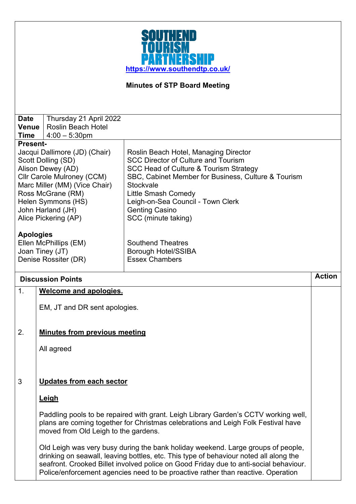

## **Minutes of STP Board Meeting**

| <b>Date</b>                   | Thursday 21 April 2022        |                                                     |  |
|-------------------------------|-------------------------------|-----------------------------------------------------|--|
| <b>Venue</b>                  | <b>Roslin Beach Hotel</b>     |                                                     |  |
| Time                          | $14:00 - 5:30$ pm             |                                                     |  |
| <b>Present-</b>               |                               |                                                     |  |
|                               | Jacqui Dallimore (JD) (Chair) | Roslin Beach Hotel, Managing Director               |  |
|                               | Scott Dolling (SD)            | <b>SCC Director of Culture and Tourism</b>          |  |
| Alison Dewey (AD)             |                               | SCC Head of Culture & Tourism Strategy              |  |
| Cllr Carole Mulroney (CCM)    |                               | SBC, Cabinet Member for Business, Culture & Tourism |  |
| Marc Miller (MM) (Vice Chair) |                               | Stockvale                                           |  |
| Ross McGrane (RM)             |                               | Little Smash Comedy                                 |  |
| Helen Symmons (HS)            |                               | Leigh-on-Sea Council - Town Clerk                   |  |
| John Harland (JH)             |                               | <b>Genting Casino</b>                               |  |
| Alice Pickering (AP)          |                               | SCC (minute taking)                                 |  |
| <b>Apologies</b>              |                               |                                                     |  |
| Ellen McPhillips (EM)         |                               | <b>Southend Theatres</b>                            |  |
| Joan Tiney (JT)               |                               | Borough Hotel/SSIBA                                 |  |
| Denise Rossiter (DR)          |                               | <b>Essex Chambers</b>                               |  |
|                               |                               |                                                     |  |
| <b>Discussion Points</b>      |                               |                                                     |  |
| 1.<br>Welcome and apologies.  |                               |                                                     |  |
|                               |                               |                                                     |  |

EM, JT and DR sent apologies.

## 2. **Minutes from previous meeting**

All agreed

## 3 **Updates from each sector**

## **Leigh**

Paddling pools to be repaired with grant. Leigh Library Garden's CCTV working well, plans are coming together for Christmas celebrations and Leigh Folk Festival have moved from Old Leigh to the gardens.

Old Leigh was very busy during the bank holiday weekend. Large groups of people, drinking on seawall, leaving bottles, etc. This type of behaviour noted all along the seafront. Crooked Billet involved police on Good Friday due to anti-social behaviour. Police/enforcement agencies need to be proactive rather than reactive. Operation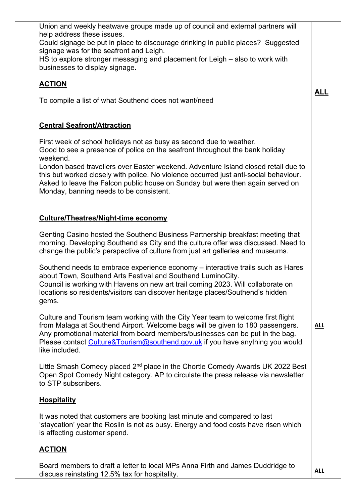| Union and weekly heatwave groups made up of council and external partners will<br>help address these issues.<br>Could signage be put in place to discourage drinking in public places? Suggested<br>signage was for the seafront and Leigh.<br>HS to explore stronger messaging and placement for Leigh – also to work with<br>businesses to display signage.                                                                    |            |
|----------------------------------------------------------------------------------------------------------------------------------------------------------------------------------------------------------------------------------------------------------------------------------------------------------------------------------------------------------------------------------------------------------------------------------|------------|
| <b>ACTION</b><br>To compile a list of what Southend does not want/need                                                                                                                                                                                                                                                                                                                                                           | <u>ALL</u> |
|                                                                                                                                                                                                                                                                                                                                                                                                                                  |            |
| <b>Central Seafront/Attraction</b>                                                                                                                                                                                                                                                                                                                                                                                               |            |
| First week of school holidays not as busy as second due to weather.<br>Good to see a presence of police on the seafront throughout the bank holiday<br>weekend.<br>London based travellers over Easter weekend. Adventure Island closed retail due to<br>this but worked closely with police. No violence occurred just anti-social behaviour.<br>Asked to leave the Falcon public house on Sunday but were then again served on |            |
| Monday, banning needs to be consistent.                                                                                                                                                                                                                                                                                                                                                                                          |            |
| <b>Culture/Theatres/Night-time economy</b>                                                                                                                                                                                                                                                                                                                                                                                       |            |
| Genting Casino hosted the Southend Business Partnership breakfast meeting that<br>morning. Developing Southend as City and the culture offer was discussed. Need to<br>change the public's perspective of culture from just art galleries and museums.                                                                                                                                                                           |            |
| Southend needs to embrace experience economy – interactive trails such as Hares<br>about Town, Southend Arts Festival and Southend LuminoCity.<br>Council is working with Havens on new art trail coming 2023. Will collaborate on<br>locations so residents/visitors can discover heritage places/Southend's hidden<br>gems.                                                                                                    |            |
| Culture and Tourism team working with the City Year team to welcome first flight<br>from Malaga at Southend Airport. Welcome bags will be given to 180 passengers.<br>Any promotional material from board members/businesses can be put in the bag.<br>Please contact Culture&Tourism@southend.gov.uk if you have anything you would<br>like included.                                                                           | <b>ALL</b> |
| Little Smash Comedy placed 2 <sup>nd</sup> place in the Chortle Comedy Awards UK 2022 Best<br>Open Spot Comedy Night category. AP to circulate the press release via newsletter<br>to STP subscribers.                                                                                                                                                                                                                           |            |
| <b>Hospitality</b>                                                                                                                                                                                                                                                                                                                                                                                                               |            |
| It was noted that customers are booking last minute and compared to last<br>'staycation' year the Roslin is not as busy. Energy and food costs have risen which<br>is affecting customer spend.                                                                                                                                                                                                                                  |            |
| <b>ACTION</b>                                                                                                                                                                                                                                                                                                                                                                                                                    |            |
| Board members to draft a letter to local MPs Anna Firth and James Duddridge to<br>discuss reinstating 12.5% tax for hospitality.                                                                                                                                                                                                                                                                                                 | <b>ALL</b> |